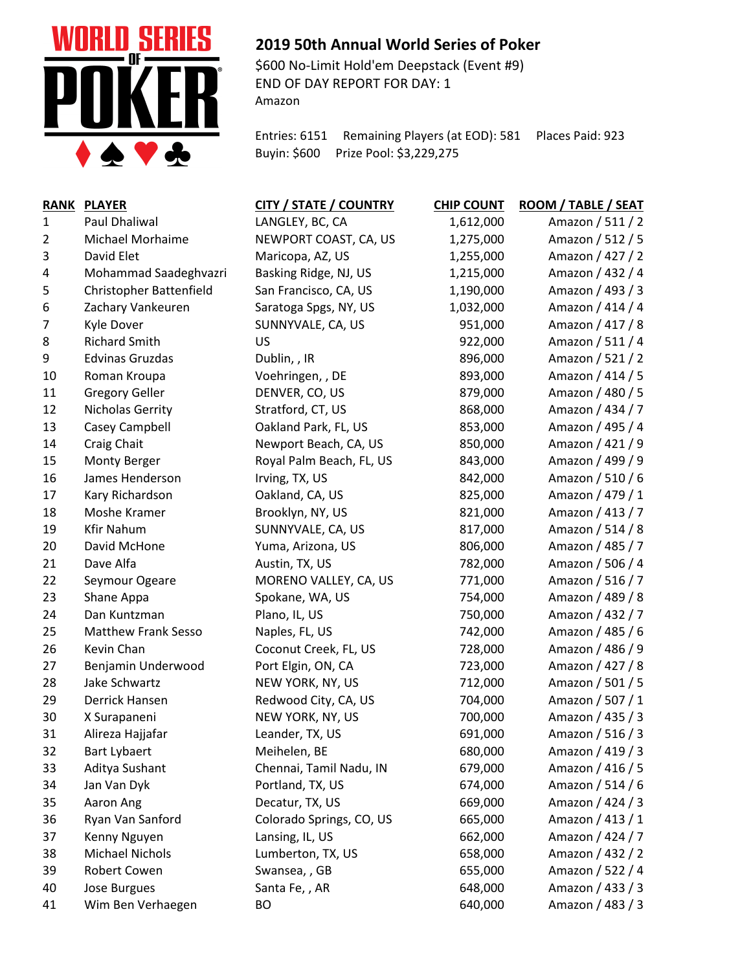

## **2019 50th Annual World Series of Poker**

\$600 No-Limit Hold'em Deepstack (Event #9) END OF DAY REPORT FOR DAY: 1 Amazon

Entries: 6151 Remaining Players (at EOD): 581 Places Paid: 923 Buyin: \$600 Prize Pool: \$3,229,275

| <b>RANK</b> | <b>PLAYER</b>              | CITY / STATE / COUNTRY   | <b>CHIP COUNT</b> | ROOM / TABLE / SEAT |
|-------------|----------------------------|--------------------------|-------------------|---------------------|
| 1           | Paul Dhaliwal              | LANGLEY, BC, CA          | 1,612,000         | Amazon / 511 / 2    |
| 2           | Michael Morhaime           | NEWPORT COAST, CA, US    | 1,275,000         | Amazon / 512 / 5    |
| 3           | David Elet                 | Maricopa, AZ, US         | 1,255,000         | Amazon / 427 / 2    |
| 4           | Mohammad Saadeghvazri      | Basking Ridge, NJ, US    | 1,215,000         | Amazon / 432 / 4    |
| 5           | Christopher Battenfield    | San Francisco, CA, US    | 1,190,000         | Amazon / 493 / 3    |
| 6           | Zachary Vankeuren          | Saratoga Spgs, NY, US    | 1,032,000         | Amazon / 414 / 4    |
| 7           | Kyle Dover                 | SUNNYVALE, CA, US        | 951,000           | Amazon / 417 / 8    |
| 8           | <b>Richard Smith</b>       | US                       | 922,000           | Amazon / 511 / 4    |
| 9           | <b>Edvinas Gruzdas</b>     | Dublin, , IR             | 896,000           | Amazon / 521 / 2    |
| 10          | Roman Kroupa               | Voehringen, , DE         | 893,000           | Amazon / 414 / 5    |
| 11          | <b>Gregory Geller</b>      | DENVER, CO, US           | 879,000           | Amazon / 480 / 5    |
| 12          | Nicholas Gerrity           | Stratford, CT, US        | 868,000           | Amazon / 434 / 7    |
| 13          | Casey Campbell             | Oakland Park, FL, US     | 853,000           | Amazon / 495 / 4    |
| 14          | Craig Chait                | Newport Beach, CA, US    | 850,000           | Amazon / 421 / 9    |
| 15          | Monty Berger               | Royal Palm Beach, FL, US | 843,000           | Amazon / 499 / 9    |
| 16          | James Henderson            | Irving, TX, US           | 842,000           | Amazon / 510 / 6    |
| 17          | Kary Richardson            | Oakland, CA, US          | 825,000           | Amazon / 479 / 1    |
| 18          | Moshe Kramer               | Brooklyn, NY, US         | 821,000           | Amazon / 413 / 7    |
| 19          | <b>Kfir Nahum</b>          | SUNNYVALE, CA, US        | 817,000           | Amazon / 514 / 8    |
| 20          | David McHone               | Yuma, Arizona, US        | 806,000           | Amazon / 485 / 7    |
| 21          | Dave Alfa                  | Austin, TX, US           | 782,000           | Amazon / 506 / 4    |
| 22          | Seymour Ogeare             | MORENO VALLEY, CA, US    | 771,000           | Amazon / 516 / 7    |
| 23          | Shane Appa                 | Spokane, WA, US          | 754,000           | Amazon / 489 / 8    |
| 24          | Dan Kuntzman               | Plano, IL, US            | 750,000           | Amazon / 432 / 7    |
| 25          | <b>Matthew Frank Sesso</b> | Naples, FL, US           | 742,000           | Amazon / 485 / 6    |
| 26          | Kevin Chan                 | Coconut Creek, FL, US    | 728,000           | Amazon / 486 / 9    |
| 27          | Benjamin Underwood         | Port Elgin, ON, CA       | 723,000           | Amazon / 427 / 8    |
| 28          | Jake Schwartz              | NEW YORK, NY, US         | 712,000           | Amazon / 501 / 5    |
| 29          | Derrick Hansen             | Redwood City, CA, US     | 704,000           | Amazon / 507 / 1    |
| 30          | X Surapaneni               | NEW YORK, NY, US         | 700,000           | Amazon / 435 / 3    |
| 31          | Alireza Hajjafar           | Leander, TX, US          | 691,000           | Amazon / 516 / 3    |
| 32          | <b>Bart Lybaert</b>        | Meihelen, BE             | 680,000           | Amazon / 419 / 3    |
| 33          | Aditya Sushant             | Chennai, Tamil Nadu, IN  | 679,000           | Amazon / 416 / 5    |
| 34          | Jan Van Dyk                | Portland, TX, US         | 674,000           | Amazon / 514 / 6    |
| 35          | Aaron Ang                  | Decatur, TX, US          | 669,000           | Amazon / 424 / 3    |
| 36          | Ryan Van Sanford           | Colorado Springs, CO, US | 665,000           | Amazon / 413 / 1    |
| 37          | Kenny Nguyen               | Lansing, IL, US          | 662,000           | Amazon / 424 / 7    |
| 38          | <b>Michael Nichols</b>     | Lumberton, TX, US        | 658,000           | Amazon / 432 / 2    |
| 39          | Robert Cowen               | Swansea, , GB            | 655,000           | Amazon / 522 / 4    |
| 40          | Jose Burgues               | Santa Fe, , AR           | 648,000           | Amazon / 433 / 3    |
| 41          | Wim Ben Verhaegen          | BO                       | 640,000           | Amazon / 483 / 3    |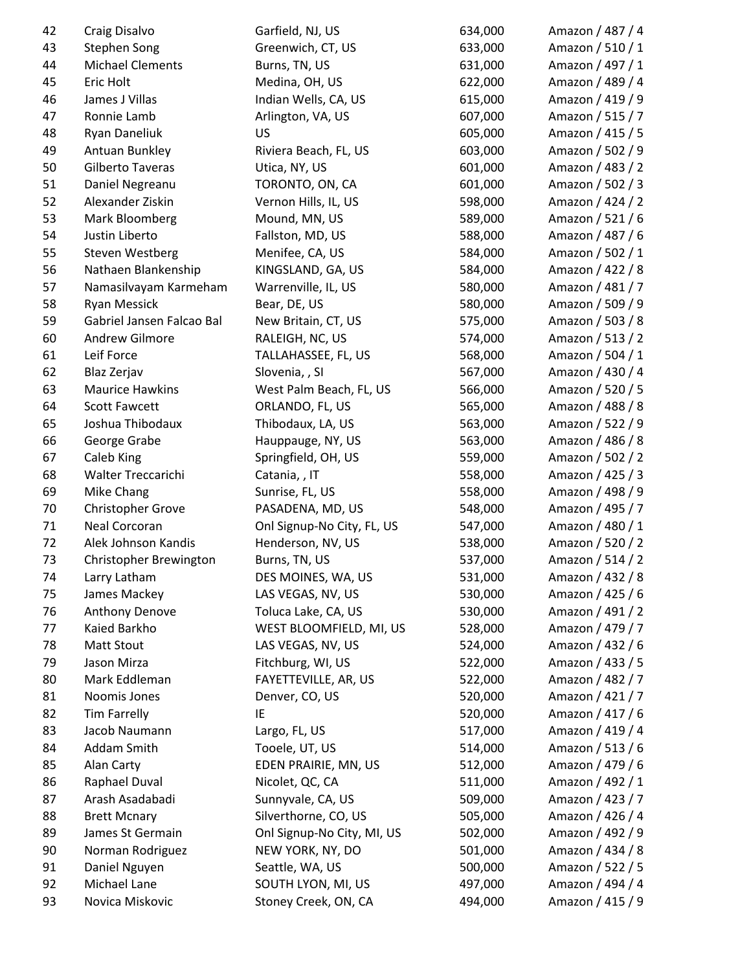| 42 | Craig Disalvo             | Garfield, NJ, US           | 634,000 | Amazon / 487 / 4 |
|----|---------------------------|----------------------------|---------|------------------|
| 43 | <b>Stephen Song</b>       | Greenwich, CT, US          | 633,000 | Amazon / 510 / 1 |
| 44 | <b>Michael Clements</b>   | Burns, TN, US              | 631,000 | Amazon / 497 / 1 |
| 45 | Eric Holt                 | Medina, OH, US             | 622,000 | Amazon / 489 / 4 |
| 46 | James J Villas            | Indian Wells, CA, US       | 615,000 | Amazon / 419 / 9 |
| 47 | Ronnie Lamb               | Arlington, VA, US          | 607,000 | Amazon / 515 / 7 |
| 48 | Ryan Daneliuk             | US                         | 605,000 | Amazon / 415 / 5 |
| 49 | Antuan Bunkley            | Riviera Beach, FL, US      | 603,000 | Amazon / 502 / 9 |
| 50 | Gilberto Taveras          | Utica, NY, US              | 601,000 | Amazon / 483 / 2 |
| 51 | Daniel Negreanu           | TORONTO, ON, CA            | 601,000 | Amazon / 502 / 3 |
| 52 | Alexander Ziskin          | Vernon Hills, IL, US       | 598,000 | Amazon / 424 / 2 |
| 53 | Mark Bloomberg            | Mound, MN, US              | 589,000 | Amazon / 521 / 6 |
| 54 | Justin Liberto            | Fallston, MD, US           | 588,000 | Amazon / 487 / 6 |
| 55 | <b>Steven Westberg</b>    | Menifee, CA, US            | 584,000 | Amazon / 502 / 1 |
| 56 | Nathaen Blankenship       | KINGSLAND, GA, US          | 584,000 | Amazon / 422 / 8 |
| 57 | Namasilvayam Karmeham     | Warrenville, IL, US        | 580,000 | Amazon / 481 / 7 |
| 58 | Ryan Messick              | Bear, DE, US               | 580,000 | Amazon / 509 / 9 |
| 59 | Gabriel Jansen Falcao Bal | New Britain, CT, US        | 575,000 | Amazon / 503 / 8 |
| 60 | <b>Andrew Gilmore</b>     | RALEIGH, NC, US            | 574,000 | Amazon / 513 / 2 |
| 61 | Leif Force                | TALLAHASSEE, FL, US        | 568,000 | Amazon / 504 / 1 |
| 62 | Blaz Zerjav               | Slovenia, , SI             | 567,000 | Amazon / 430 / 4 |
| 63 | <b>Maurice Hawkins</b>    | West Palm Beach, FL, US    | 566,000 | Amazon / 520 / 5 |
| 64 | <b>Scott Fawcett</b>      | ORLANDO, FL, US            | 565,000 | Amazon / 488 / 8 |
| 65 | Joshua Thibodaux          | Thibodaux, LA, US          | 563,000 | Amazon / 522 / 9 |
| 66 | George Grabe              | Hauppauge, NY, US          | 563,000 | Amazon / 486 / 8 |
| 67 | Caleb King                | Springfield, OH, US        | 559,000 | Amazon / 502 / 2 |
| 68 | Walter Treccarichi        | Catania, , IT              | 558,000 | Amazon / 425 / 3 |
| 69 | Mike Chang                | Sunrise, FL, US            | 558,000 | Amazon / 498 / 9 |
| 70 | Christopher Grove         | PASADENA, MD, US           | 548,000 | Amazon / 495 / 7 |
| 71 | Neal Corcoran             | Onl Signup-No City, FL, US | 547,000 | Amazon / 480 / 1 |
| 72 | Alek Johnson Kandis       | Henderson, NV, US          | 538,000 | Amazon / 520 / 2 |
| 73 | Christopher Brewington    | Burns, TN, US              | 537,000 | Amazon / 514 / 2 |
| 74 | Larry Latham              | DES MOINES, WA, US         | 531,000 | Amazon / 432 / 8 |
| 75 | James Mackey              | LAS VEGAS, NV, US          | 530,000 | Amazon / 425 / 6 |
| 76 | Anthony Denove            | Toluca Lake, CA, US        | 530,000 | Amazon / 491 / 2 |
| 77 | Kaied Barkho              | WEST BLOOMFIELD, MI, US    | 528,000 | Amazon / 479 / 7 |
| 78 | <b>Matt Stout</b>         | LAS VEGAS, NV, US          | 524,000 | Amazon / 432 / 6 |
| 79 | Jason Mirza               | Fitchburg, WI, US          | 522,000 | Amazon / 433 / 5 |
| 80 | Mark Eddleman             | FAYETTEVILLE, AR, US       | 522,000 | Amazon / 482 / 7 |
| 81 | Noomis Jones              | Denver, CO, US             | 520,000 | Amazon / 421 / 7 |
| 82 | <b>Tim Farrelly</b>       | IE                         | 520,000 | Amazon / 417 / 6 |
| 83 | Jacob Naumann             | Largo, FL, US              | 517,000 | Amazon / 419 / 4 |
| 84 | Addam Smith               | Tooele, UT, US             | 514,000 | Amazon / 513 / 6 |
| 85 | Alan Carty                | EDEN PRAIRIE, MN, US       | 512,000 | Amazon / 479 / 6 |
| 86 | Raphael Duval             | Nicolet, QC, CA            | 511,000 | Amazon / 492 / 1 |
| 87 | Arash Asadabadi           | Sunnyvale, CA, US          | 509,000 | Amazon / 423 / 7 |
| 88 | <b>Brett Mcnary</b>       | Silverthorne, CO, US       | 505,000 | Amazon / 426 / 4 |
| 89 | James St Germain          | Onl Signup-No City, MI, US | 502,000 | Amazon / 492 / 9 |
| 90 | Norman Rodriguez          | NEW YORK, NY, DO           | 501,000 | Amazon / 434 / 8 |
| 91 | Daniel Nguyen             | Seattle, WA, US            | 500,000 | Amazon / 522 / 5 |
| 92 | Michael Lane              | SOUTH LYON, MI, US         | 497,000 | Amazon / 494 / 4 |
| 93 | Novica Miskovic           | Stoney Creek, ON, CA       | 494,000 | Amazon / 415 / 9 |
|    |                           |                            |         |                  |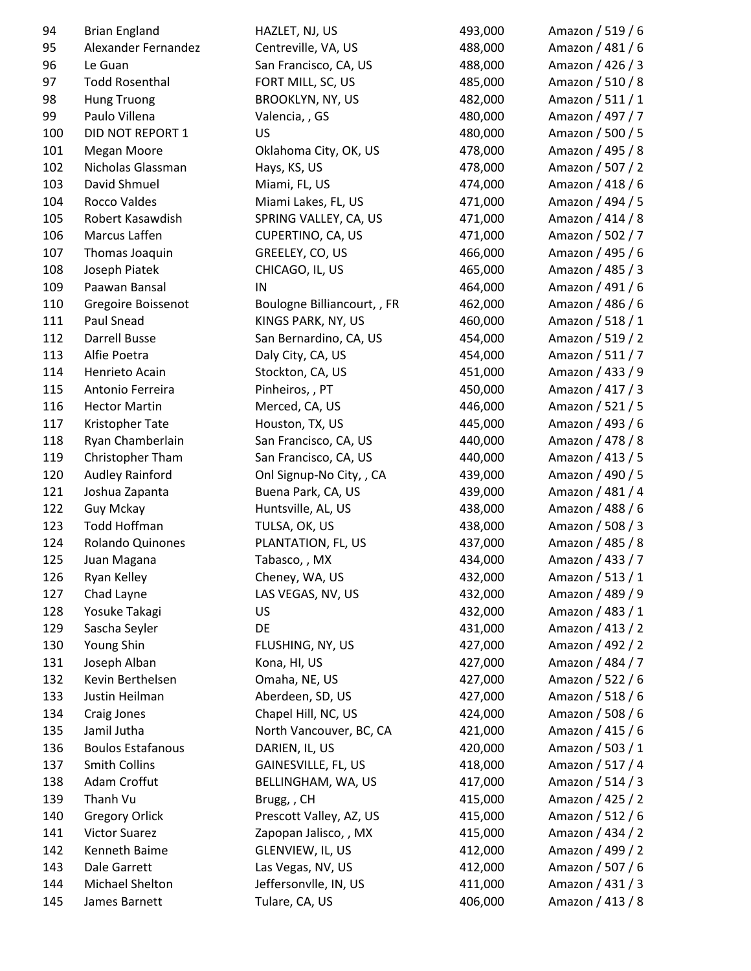| 94  | <b>Brian England</b>     | HAZLET, NJ, US              | 493,000 | Amazon / 519 / 6 |
|-----|--------------------------|-----------------------------|---------|------------------|
| 95  | Alexander Fernandez      | Centreville, VA, US         | 488,000 | Amazon / 481 / 6 |
| 96  | Le Guan                  | San Francisco, CA, US       | 488,000 | Amazon / 426 / 3 |
| 97  | <b>Todd Rosenthal</b>    | FORT MILL, SC, US           | 485,000 | Amazon / 510 / 8 |
| 98  | <b>Hung Truong</b>       | <b>BROOKLYN, NY, US</b>     | 482,000 | Amazon / 511 / 1 |
| 99  | Paulo Villena            | Valencia, , GS              | 480,000 | Amazon / 497 / 7 |
| 100 | DID NOT REPORT 1         | US                          | 480,000 | Amazon / 500 / 5 |
| 101 | Megan Moore              | Oklahoma City, OK, US       | 478,000 | Amazon / 495 / 8 |
| 102 | Nicholas Glassman        | Hays, KS, US                | 478,000 | Amazon / 507 / 2 |
| 103 | David Shmuel             | Miami, FL, US               | 474,000 | Amazon / 418 / 6 |
| 104 | Rocco Valdes             | Miami Lakes, FL, US         | 471,000 | Amazon / 494 / 5 |
| 105 | Robert Kasawdish         | SPRING VALLEY, CA, US       | 471,000 | Amazon / 414 / 8 |
| 106 | Marcus Laffen            | CUPERTINO, CA, US           | 471,000 | Amazon / 502 / 7 |
| 107 | Thomas Joaquin           | GREELEY, CO, US             | 466,000 | Amazon / 495 / 6 |
| 108 | Joseph Piatek            | CHICAGO, IL, US             | 465,000 | Amazon / 485 / 3 |
| 109 | Paawan Bansal            | IN                          | 464,000 | Amazon / 491 / 6 |
| 110 | Gregoire Boissenot       | Boulogne Billiancourt, , FR | 462,000 | Amazon / 486 / 6 |
| 111 | Paul Snead               | KINGS PARK, NY, US          | 460,000 | Amazon / 518 / 1 |
| 112 | Darrell Busse            | San Bernardino, CA, US      | 454,000 | Amazon / 519 / 2 |
| 113 | Alfie Poetra             | Daly City, CA, US           | 454,000 | Amazon / 511 / 7 |
| 114 | Henrieto Acain           | Stockton, CA, US            | 451,000 | Amazon / 433 / 9 |
| 115 | Antonio Ferreira         | Pinheiros,, PT              | 450,000 | Amazon / 417 / 3 |
| 116 | <b>Hector Martin</b>     | Merced, CA, US              | 446,000 | Amazon / 521 / 5 |
| 117 | Kristopher Tate          | Houston, TX, US             | 445,000 | Amazon / 493 / 6 |
| 118 | Ryan Chamberlain         | San Francisco, CA, US       | 440,000 | Amazon / 478 / 8 |
| 119 | Christopher Tham         | San Francisco, CA, US       | 440,000 | Amazon / 413 / 5 |
| 120 | <b>Audley Rainford</b>   | Onl Signup-No City, , CA    | 439,000 | Amazon / 490 / 5 |
| 121 | Joshua Zapanta           | Buena Park, CA, US          | 439,000 | Amazon / 481 / 4 |
| 122 | Guy Mckay                | Huntsville, AL, US          | 438,000 | Amazon / 488 / 6 |
| 123 | Todd Hoffman             | TULSA, OK, US               | 438,000 | Amazon / 508 / 3 |
| 124 | Rolando Quinones         | PLANTATION, FL, US          | 437,000 | Amazon / 485 / 8 |
| 125 | Juan Magana              | Tabasco,, MX                | 434,000 | Amazon / 433 / 7 |
| 126 | Ryan Kelley              | Cheney, WA, US              | 432,000 | Amazon / 513 / 1 |
| 127 | Chad Layne               | LAS VEGAS, NV, US           | 432,000 | Amazon / 489 / 9 |
| 128 | Yosuke Takagi            | US                          | 432,000 | Amazon / 483 / 1 |
| 129 | Sascha Seyler            | DE                          | 431,000 | Amazon / 413 / 2 |
| 130 | Young Shin               | FLUSHING, NY, US            | 427,000 | Amazon / 492 / 2 |
| 131 | Joseph Alban             | Kona, HI, US                | 427,000 | Amazon / 484 / 7 |
| 132 | Kevin Berthelsen         | Omaha, NE, US               | 427,000 | Amazon / 522 / 6 |
| 133 | Justin Heilman           | Aberdeen, SD, US            | 427,000 | Amazon / 518 / 6 |
| 134 | Craig Jones              | Chapel Hill, NC, US         | 424,000 | Amazon / 508 / 6 |
| 135 | Jamil Jutha              | North Vancouver, BC, CA     | 421,000 | Amazon / 415 / 6 |
| 136 | <b>Boulos Estafanous</b> | DARIEN, IL, US              | 420,000 | Amazon / 503 / 1 |
| 137 | <b>Smith Collins</b>     | GAINESVILLE, FL, US         | 418,000 | Amazon / 517 / 4 |
| 138 | Adam Croffut             | BELLINGHAM, WA, US          | 417,000 | Amazon / 514 / 3 |
| 139 | Thanh Vu                 | Brugg,, CH                  | 415,000 | Amazon / 425 / 2 |
| 140 | <b>Gregory Orlick</b>    | Prescott Valley, AZ, US     | 415,000 | Amazon / 512 / 6 |
| 141 | <b>Victor Suarez</b>     | Zapopan Jalisco, , MX       | 415,000 | Amazon / 434 / 2 |
| 142 | Kenneth Baime            | GLENVIEW, IL, US            | 412,000 | Amazon / 499 / 2 |
| 143 | Dale Garrett             | Las Vegas, NV, US           | 412,000 | Amazon / 507 / 6 |
| 144 | Michael Shelton          | Jeffersonvlle, IN, US       | 411,000 | Amazon / 431 / 3 |
| 145 | James Barnett            | Tulare, CA, US              | 406,000 | Amazon / 413 / 8 |
|     |                          |                             |         |                  |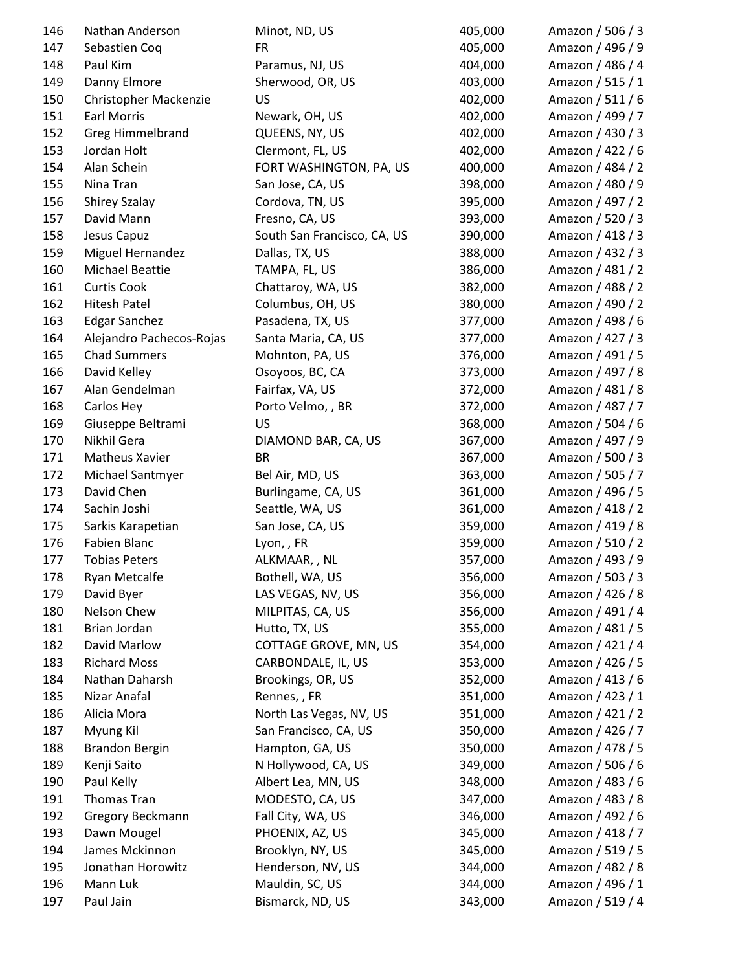| 146 | Nathan Anderson          | Minot, ND, US               | 405,000 | Amazon / 506 / 3 |
|-----|--------------------------|-----------------------------|---------|------------------|
| 147 | Sebastien Coq            | <b>FR</b>                   | 405,000 | Amazon / 496 / 9 |
| 148 | Paul Kim                 | Paramus, NJ, US             | 404,000 | Amazon / 486 / 4 |
| 149 | Danny Elmore             | Sherwood, OR, US            | 403,000 | Amazon / 515 / 1 |
| 150 | Christopher Mackenzie    | US                          | 402,000 | Amazon / 511 / 6 |
| 151 | <b>Earl Morris</b>       | Newark, OH, US              | 402,000 | Amazon / 499 / 7 |
| 152 | <b>Greg Himmelbrand</b>  | QUEENS, NY, US              | 402,000 | Amazon / 430 / 3 |
| 153 | Jordan Holt              | Clermont, FL, US            | 402,000 | Amazon / 422 / 6 |
| 154 | Alan Schein              | FORT WASHINGTON, PA, US     | 400,000 | Amazon / 484 / 2 |
| 155 | Nina Tran                | San Jose, CA, US            | 398,000 | Amazon / 480 / 9 |
| 156 | <b>Shirey Szalay</b>     | Cordova, TN, US             | 395,000 | Amazon / 497 / 2 |
| 157 | David Mann               | Fresno, CA, US              | 393,000 | Amazon / 520 / 3 |
| 158 | Jesus Capuz              | South San Francisco, CA, US | 390,000 | Amazon / 418 / 3 |
| 159 | Miguel Hernandez         | Dallas, TX, US              | 388,000 | Amazon / 432 / 3 |
| 160 | <b>Michael Beattie</b>   | TAMPA, FL, US               | 386,000 | Amazon / 481 / 2 |
| 161 | <b>Curtis Cook</b>       | Chattaroy, WA, US           | 382,000 | Amazon / 488 / 2 |
| 162 | <b>Hitesh Patel</b>      | Columbus, OH, US            | 380,000 | Amazon / 490 / 2 |
| 163 | <b>Edgar Sanchez</b>     | Pasadena, TX, US            | 377,000 | Amazon / 498 / 6 |
| 164 | Alejandro Pachecos-Rojas | Santa Maria, CA, US         | 377,000 | Amazon / 427 / 3 |
| 165 | <b>Chad Summers</b>      | Mohnton, PA, US             | 376,000 | Amazon / 491 / 5 |
| 166 | David Kelley             | Osoyoos, BC, CA             | 373,000 | Amazon / 497 / 8 |
| 167 | Alan Gendelman           | Fairfax, VA, US             | 372,000 | Amazon / 481 / 8 |
| 168 | Carlos Hey               | Porto Velmo, , BR           | 372,000 | Amazon / 487 / 7 |
| 169 | Giuseppe Beltrami        | US                          | 368,000 | Amazon / 504 / 6 |
| 170 | Nikhil Gera              | DIAMOND BAR, CA, US         | 367,000 | Amazon / 497 / 9 |
| 171 | <b>Matheus Xavier</b>    | <b>BR</b>                   | 367,000 | Amazon / 500 / 3 |
| 172 | Michael Santmyer         | Bel Air, MD, US             | 363,000 | Amazon / 505 / 7 |
| 173 | David Chen               | Burlingame, CA, US          | 361,000 | Amazon / 496 / 5 |
| 174 | Sachin Joshi             | Seattle, WA, US             | 361,000 | Amazon / 418 / 2 |
| 175 | Sarkis Karapetian        | San Jose, CA, US            | 359,000 | Amazon / 419 / 8 |
| 176 | Fabien Blanc             | Lyon,, FR                   | 359,000 | Amazon / 510 / 2 |
| 177 | <b>Tobias Peters</b>     | ALKMAAR,, NL                | 357,000 | Amazon / 493 / 9 |
| 178 | Ryan Metcalfe            | Bothell, WA, US             | 356,000 | Amazon / 503 / 3 |
| 179 | David Byer               | LAS VEGAS, NV, US           | 356,000 | Amazon / 426 / 8 |
| 180 | Nelson Chew              | MILPITAS, CA, US            | 356,000 | Amazon / 491 / 4 |
| 181 | Brian Jordan             | Hutto, TX, US               | 355,000 | Amazon / 481 / 5 |
| 182 | David Marlow             | COTTAGE GROVE, MN, US       | 354,000 | Amazon / 421 / 4 |
| 183 | <b>Richard Moss</b>      | CARBONDALE, IL, US          | 353,000 | Amazon / 426 / 5 |
| 184 | Nathan Daharsh           | Brookings, OR, US           | 352,000 | Amazon / 413 / 6 |
| 185 | Nizar Anafal             | Rennes, , FR                | 351,000 | Amazon / 423 / 1 |
| 186 | Alicia Mora              | North Las Vegas, NV, US     | 351,000 | Amazon / 421 / 2 |
| 187 | Myung Kil                | San Francisco, CA, US       | 350,000 | Amazon / 426 / 7 |
| 188 | <b>Brandon Bergin</b>    | Hampton, GA, US             | 350,000 | Amazon / 478 / 5 |
| 189 | Kenji Saito              | N Hollywood, CA, US         | 349,000 | Amazon / 506 / 6 |
| 190 | Paul Kelly               | Albert Lea, MN, US          | 348,000 | Amazon / 483 / 6 |
| 191 | Thomas Tran              | MODESTO, CA, US             | 347,000 | Amazon / 483 / 8 |
| 192 | Gregory Beckmann         | Fall City, WA, US           | 346,000 | Amazon / 492 / 6 |
| 193 | Dawn Mougel              | PHOENIX, AZ, US             | 345,000 | Amazon / 418 / 7 |
| 194 | James Mckinnon           | Brooklyn, NY, US            | 345,000 | Amazon / 519 / 5 |
| 195 | Jonathan Horowitz        | Henderson, NV, US           | 344,000 | Amazon / 482 / 8 |
| 196 | Mann Luk                 | Mauldin, SC, US             | 344,000 | Amazon / 496 / 1 |
| 197 | Paul Jain                | Bismarck, ND, US            | 343,000 | Amazon / 519 / 4 |
|     |                          |                             |         |                  |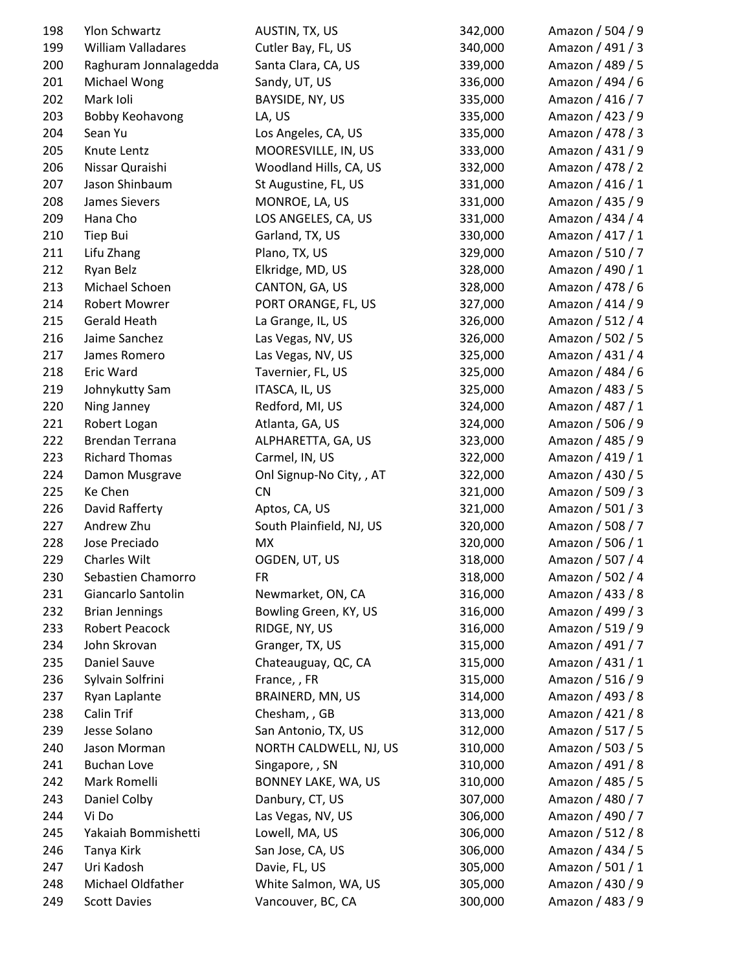| 198 | Ylon Schwartz          | AUSTIN, TX, US           | 342,000 | Amazon / 504 / 9 |
|-----|------------------------|--------------------------|---------|------------------|
| 199 | William Valladares     | Cutler Bay, FL, US       | 340,000 | Amazon / 491 / 3 |
| 200 | Raghuram Jonnalagedda  | Santa Clara, CA, US      | 339,000 | Amazon / 489 / 5 |
| 201 | Michael Wong           | Sandy, UT, US            | 336,000 | Amazon / 494 / 6 |
| 202 | Mark Ioli              | BAYSIDE, NY, US          | 335,000 | Amazon / 416 / 7 |
| 203 | <b>Bobby Keohavong</b> | LA, US                   | 335,000 | Amazon / 423 / 9 |
| 204 | Sean Yu                | Los Angeles, CA, US      | 335,000 | Amazon / 478 / 3 |
| 205 | Knute Lentz            | MOORESVILLE, IN, US      | 333,000 | Amazon / 431 / 9 |
| 206 | Nissar Quraishi        | Woodland Hills, CA, US   | 332,000 | Amazon / 478 / 2 |
| 207 | Jason Shinbaum         | St Augustine, FL, US     | 331,000 | Amazon / 416 / 1 |
| 208 | James Sievers          | MONROE, LA, US           | 331,000 | Amazon / 435 / 9 |
| 209 | Hana Cho               | LOS ANGELES, CA, US      | 331,000 | Amazon / 434 / 4 |
| 210 | Tiep Bui               | Garland, TX, US          | 330,000 | Amazon / 417 / 1 |
| 211 | Lifu Zhang             | Plano, TX, US            | 329,000 | Amazon / 510 / 7 |
| 212 | Ryan Belz              | Elkridge, MD, US         | 328,000 | Amazon / 490 / 1 |
| 213 | Michael Schoen         | CANTON, GA, US           | 328,000 | Amazon / 478 / 6 |
| 214 | <b>Robert Mowrer</b>   | PORT ORANGE, FL, US      | 327,000 | Amazon / 414 / 9 |
| 215 | <b>Gerald Heath</b>    | La Grange, IL, US        | 326,000 | Amazon / 512 / 4 |
| 216 | Jaime Sanchez          | Las Vegas, NV, US        | 326,000 | Amazon / 502 / 5 |
| 217 | James Romero           | Las Vegas, NV, US        | 325,000 | Amazon / 431 / 4 |
| 218 | Eric Ward              | Tavernier, FL, US        | 325,000 | Amazon / 484 / 6 |
| 219 | Johnykutty Sam         | ITASCA, IL, US           | 325,000 | Amazon / 483 / 5 |
| 220 | Ning Janney            | Redford, MI, US          | 324,000 | Amazon / 487 / 1 |
| 221 | Robert Logan           | Atlanta, GA, US          | 324,000 | Amazon / 506 / 9 |
| 222 | Brendan Terrana        | ALPHARETTA, GA, US       | 323,000 | Amazon / 485 / 9 |
| 223 | <b>Richard Thomas</b>  | Carmel, IN, US           | 322,000 | Amazon / 419 / 1 |
| 224 | Damon Musgrave         | Onl Signup-No City, , AT | 322,000 | Amazon / 430 / 5 |
| 225 | Ke Chen                | <b>CN</b>                | 321,000 | Amazon / 509 / 3 |
| 226 | David Rafferty         | Aptos, CA, US            | 321,000 | Amazon / 501 / 3 |
| 227 | Andrew Zhu             | South Plainfield, NJ, US | 320,000 | Amazon / 508 / 7 |
| 228 | Jose Preciado          | <b>MX</b>                | 320,000 | Amazon / 506 / 1 |
| 229 | <b>Charles Wilt</b>    | OGDEN, UT, US            | 318,000 | Amazon / 507 / 4 |
| 230 | Sebastien Chamorro     | <b>FR</b>                | 318,000 | Amazon / 502 / 4 |
| 231 | Giancarlo Santolin     | Newmarket, ON, CA        | 316,000 | Amazon / 433 / 8 |
| 232 | <b>Brian Jennings</b>  | Bowling Green, KY, US    | 316,000 | Amazon / 499 / 3 |
| 233 | Robert Peacock         | RIDGE, NY, US            | 316,000 | Amazon / 519 / 9 |
| 234 | John Skrovan           | Granger, TX, US          | 315,000 | Amazon / 491 / 7 |
| 235 | Daniel Sauve           | Chateauguay, QC, CA      | 315,000 | Amazon / 431 / 1 |
| 236 | Sylvain Solfrini       | France, , FR             | 315,000 | Amazon / 516 / 9 |
| 237 | Ryan Laplante          | BRAINERD, MN, US         | 314,000 | Amazon / 493 / 8 |
| 238 | <b>Calin Trif</b>      | Chesham, , GB            | 313,000 | Amazon / 421 / 8 |
| 239 | Jesse Solano           | San Antonio, TX, US      | 312,000 | Amazon / 517 / 5 |
| 240 | Jason Morman           | NORTH CALDWELL, NJ, US   | 310,000 | Amazon / 503 / 5 |
| 241 | <b>Buchan Love</b>     | Singapore, , SN          | 310,000 | Amazon / 491 / 8 |
| 242 | Mark Romelli           | BONNEY LAKE, WA, US      | 310,000 | Amazon / 485 / 5 |
| 243 | Daniel Colby           | Danbury, CT, US          | 307,000 | Amazon / 480 / 7 |
| 244 | Vi Do                  | Las Vegas, NV, US        | 306,000 | Amazon / 490 / 7 |
| 245 | Yakaiah Bommishetti    | Lowell, MA, US           | 306,000 | Amazon / 512 / 8 |
| 246 | Tanya Kirk             | San Jose, CA, US         | 306,000 | Amazon / 434 / 5 |
| 247 | Uri Kadosh             | Davie, FL, US            | 305,000 | Amazon / 501 / 1 |
| 248 | Michael Oldfather      | White Salmon, WA, US     | 305,000 | Amazon / 430 / 9 |
| 249 | <b>Scott Davies</b>    | Vancouver, BC, CA        | 300,000 | Amazon / 483 / 9 |
|     |                        |                          |         |                  |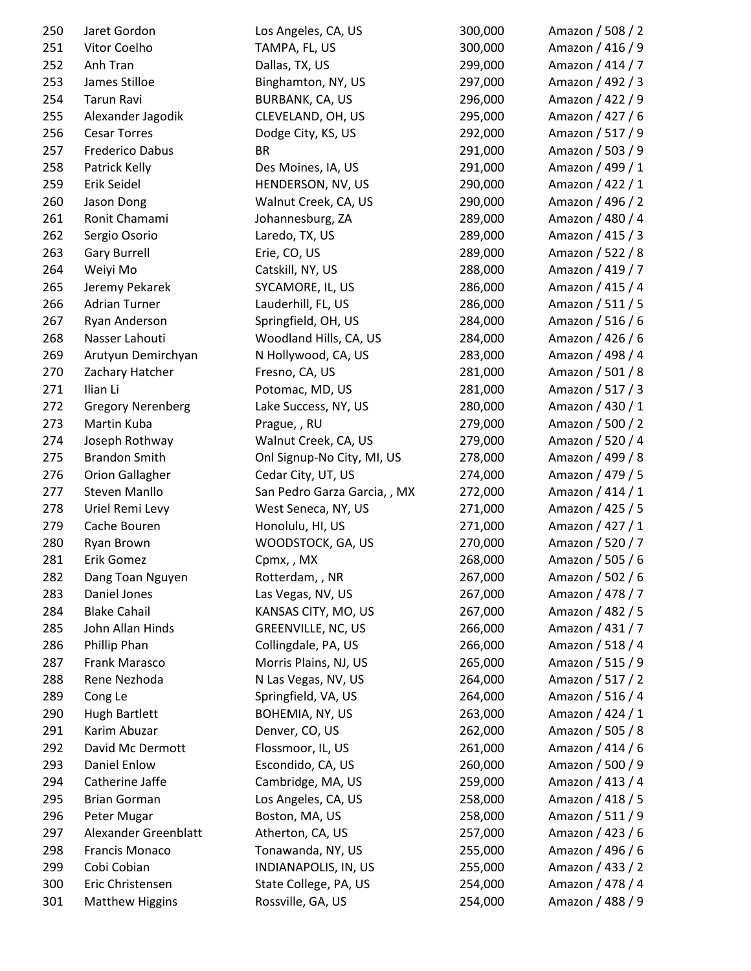| 250 | Jaret Gordon             | Los Angeles, CA, US          | 300,000 | Amazon / 508 / 2 |
|-----|--------------------------|------------------------------|---------|------------------|
| 251 | Vitor Coelho             | TAMPA, FL, US                | 300,000 | Amazon / 416 / 9 |
| 252 | Anh Tran                 | Dallas, TX, US               | 299,000 | Amazon / 414 / 7 |
| 253 | James Stilloe            | Binghamton, NY, US           | 297,000 | Amazon / 492 / 3 |
| 254 | Tarun Ravi               | BURBANK, CA, US              | 296,000 | Amazon / 422 / 9 |
| 255 | Alexander Jagodik        | CLEVELAND, OH, US            | 295,000 | Amazon / 427 / 6 |
| 256 | <b>Cesar Torres</b>      | Dodge City, KS, US           | 292,000 | Amazon / 517 / 9 |
| 257 | Frederico Dabus          | <b>BR</b>                    | 291,000 | Amazon / 503 / 9 |
| 258 | Patrick Kelly            | Des Moines, IA, US           | 291,000 | Amazon / 499 / 1 |
| 259 | Erik Seidel              | HENDERSON, NV, US            | 290,000 | Amazon / 422 / 1 |
| 260 | Jason Dong               | Walnut Creek, CA, US         | 290,000 | Amazon / 496 / 2 |
| 261 | Ronit Chamami            | Johannesburg, ZA             | 289,000 | Amazon / 480 / 4 |
| 262 | Sergio Osorio            | Laredo, TX, US               | 289,000 | Amazon / 415 / 3 |
| 263 | <b>Gary Burrell</b>      | Erie, CO, US                 | 289,000 | Amazon / 522 / 8 |
| 264 | Weiyi Mo                 | Catskill, NY, US             | 288,000 | Amazon / 419 / 7 |
| 265 | Jeremy Pekarek           | SYCAMORE, IL, US             | 286,000 | Amazon / 415 / 4 |
| 266 | <b>Adrian Turner</b>     | Lauderhill, FL, US           | 286,000 | Amazon / 511 / 5 |
| 267 | Ryan Anderson            | Springfield, OH, US          | 284,000 | Amazon / 516 / 6 |
| 268 | Nasser Lahouti           | Woodland Hills, CA, US       | 284,000 | Amazon / 426 / 6 |
| 269 | Arutyun Demirchyan       | N Hollywood, CA, US          | 283,000 | Amazon / 498 / 4 |
| 270 | Zachary Hatcher          | Fresno, CA, US               | 281,000 | Amazon / 501 / 8 |
| 271 | Ilian Li                 | Potomac, MD, US              | 281,000 | Amazon / 517 / 3 |
| 272 | <b>Gregory Nerenberg</b> | Lake Success, NY, US         | 280,000 | Amazon / 430 / 1 |
| 273 | Martin Kuba              | Prague, , RU                 | 279,000 | Amazon / 500 / 2 |
| 274 | Joseph Rothway           | Walnut Creek, CA, US         | 279,000 | Amazon / 520 / 4 |
| 275 | <b>Brandon Smith</b>     | Onl Signup-No City, MI, US   | 278,000 | Amazon / 499 / 8 |
| 276 | <b>Orion Gallagher</b>   | Cedar City, UT, US           | 274,000 | Amazon / 479 / 5 |
| 277 | Steven Manllo            | San Pedro Garza Garcia, , MX | 272,000 | Amazon / 414 / 1 |
| 278 | Uriel Remi Levy          | West Seneca, NY, US          | 271,000 | Amazon / 425 / 5 |
| 279 | Cache Bouren             | Honolulu, HI, US             | 271,000 | Amazon / 427 / 1 |
| 280 | Ryan Brown               | WOODSTOCK, GA, US            | 270,000 | Amazon / 520 / 7 |
| 281 | Erik Gomez               | Cpmx,, MX                    | 268,000 | Amazon / 505 / 6 |
| 282 | Dang Toan Nguyen         | Rotterdam, , NR              | 267,000 | Amazon / 502 / 6 |
| 283 | Daniel Jones             | Las Vegas, NV, US            | 267,000 | Amazon / 478 / 7 |
| 284 | <b>Blake Cahail</b>      | KANSAS CITY, MO, US          | 267,000 | Amazon / 482 / 5 |
| 285 | John Allan Hinds         | GREENVILLE, NC, US           | 266,000 | Amazon / 431 / 7 |
| 286 | Phillip Phan             | Collingdale, PA, US          | 266,000 | Amazon / 518 / 4 |
| 287 | Frank Marasco            | Morris Plains, NJ, US        | 265,000 | Amazon / 515 / 9 |
| 288 | Rene Nezhoda             | N Las Vegas, NV, US          | 264,000 | Amazon / 517 / 2 |
| 289 | Cong Le                  | Springfield, VA, US          | 264,000 | Amazon / 516 / 4 |
| 290 | <b>Hugh Bartlett</b>     | BOHEMIA, NY, US              | 263,000 | Amazon / 424 / 1 |
| 291 | Karim Abuzar             | Denver, CO, US               | 262,000 | Amazon / 505 / 8 |
| 292 | David Mc Dermott         | Flossmoor, IL, US            | 261,000 | Amazon / 414 / 6 |
| 293 | <b>Daniel Enlow</b>      | Escondido, CA, US            | 260,000 | Amazon / 500 / 9 |
| 294 | Catherine Jaffe          | Cambridge, MA, US            | 259,000 | Amazon / 413 / 4 |
| 295 | <b>Brian Gorman</b>      | Los Angeles, CA, US          | 258,000 | Amazon / 418 / 5 |
| 296 | Peter Mugar              | Boston, MA, US               | 258,000 | Amazon / 511 / 9 |
| 297 | Alexander Greenblatt     | Atherton, CA, US             | 257,000 | Amazon / 423 / 6 |
| 298 | <b>Francis Monaco</b>    | Tonawanda, NY, US            | 255,000 | Amazon / 496 / 6 |
| 299 | Cobi Cobian              | INDIANAPOLIS, IN, US         | 255,000 | Amazon / 433 / 2 |
| 300 | Eric Christensen         | State College, PA, US        | 254,000 | Amazon / 478 / 4 |
| 301 | <b>Matthew Higgins</b>   | Rossville, GA, US            | 254,000 | Amazon / 488 / 9 |
|     |                          |                              |         |                  |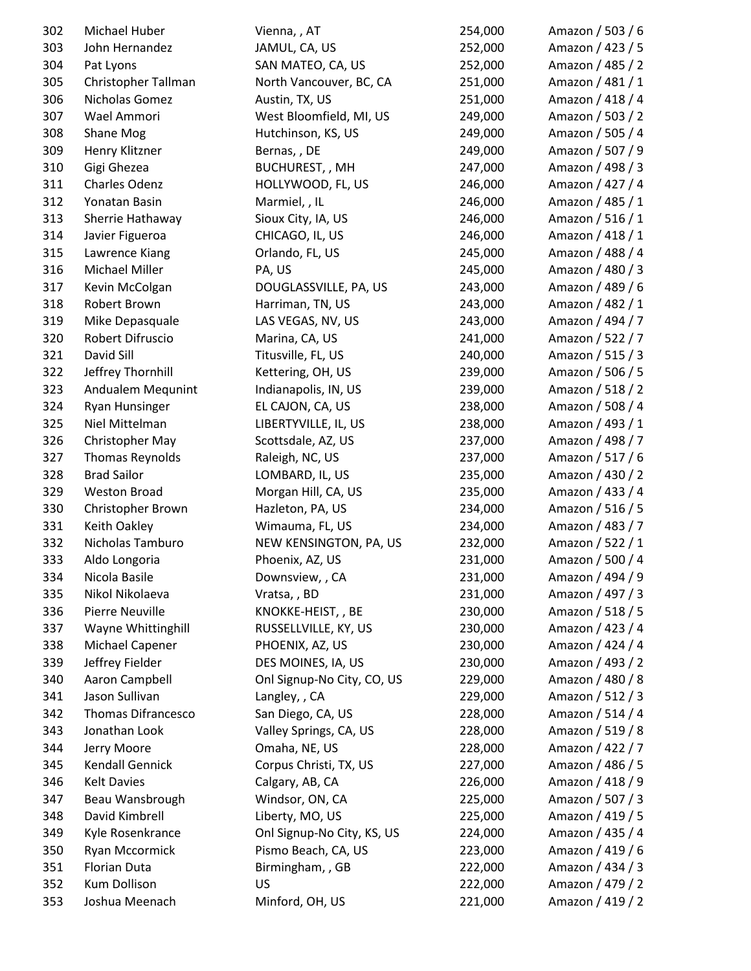| 302 | Michael Huber             | Vienna, , AT               | 254,000 | Amazon / 503 / 6 |
|-----|---------------------------|----------------------------|---------|------------------|
| 303 | John Hernandez            | JAMUL, CA, US              | 252,000 | Amazon / 423 / 5 |
| 304 | Pat Lyons                 | SAN MATEO, CA, US          | 252,000 | Amazon / 485 / 2 |
| 305 | Christopher Tallman       | North Vancouver, BC, CA    | 251,000 | Amazon / 481 / 1 |
| 306 | Nicholas Gomez            | Austin, TX, US             | 251,000 | Amazon / 418 / 4 |
| 307 | Wael Ammori               | West Bloomfield, MI, US    | 249,000 | Amazon / 503 / 2 |
| 308 | Shane Mog                 | Hutchinson, KS, US         | 249,000 | Amazon / 505 / 4 |
| 309 | Henry Klitzner            | Bernas,, DE                | 249,000 | Amazon / 507 / 9 |
| 310 | Gigi Ghezea               | <b>BUCHUREST,, MH</b>      | 247,000 | Amazon / 498 / 3 |
| 311 | Charles Odenz             | HOLLYWOOD, FL, US          | 246,000 | Amazon / 427 / 4 |
| 312 | Yonatan Basin             | Marmiel, , IL              | 246,000 | Amazon / 485 / 1 |
| 313 | Sherrie Hathaway          | Sioux City, IA, US         | 246,000 | Amazon / 516 / 1 |
| 314 | Javier Figueroa           | CHICAGO, IL, US            | 246,000 | Amazon / 418 / 1 |
| 315 | Lawrence Kiang            | Orlando, FL, US            | 245,000 | Amazon / 488 / 4 |
| 316 | Michael Miller            | PA, US                     | 245,000 | Amazon / 480 / 3 |
| 317 | Kevin McColgan            | DOUGLASSVILLE, PA, US      | 243,000 | Amazon / 489 / 6 |
| 318 | Robert Brown              | Harriman, TN, US           | 243,000 | Amazon / 482 / 1 |
| 319 | Mike Depasquale           | LAS VEGAS, NV, US          | 243,000 | Amazon / 494 / 7 |
| 320 | Robert Difruscio          | Marina, CA, US             | 241,000 | Amazon / 522 / 7 |
| 321 | David Sill                | Titusville, FL, US         | 240,000 | Amazon / 515 / 3 |
| 322 | Jeffrey Thornhill         | Kettering, OH, US          | 239,000 | Amazon / 506 / 5 |
| 323 | Andualem Mequnint         | Indianapolis, IN, US       | 239,000 | Amazon / 518 / 2 |
| 324 | <b>Ryan Hunsinger</b>     | EL CAJON, CA, US           | 238,000 | Amazon / 508 / 4 |
| 325 | Niel Mittelman            | LIBERTYVILLE, IL, US       | 238,000 | Amazon / 493 / 1 |
| 326 | Christopher May           | Scottsdale, AZ, US         | 237,000 | Amazon / 498 / 7 |
| 327 | Thomas Reynolds           | Raleigh, NC, US            | 237,000 | Amazon / 517 / 6 |
| 328 | <b>Brad Sailor</b>        | LOMBARD, IL, US            | 235,000 | Amazon / 430 / 2 |
| 329 | <b>Weston Broad</b>       | Morgan Hill, CA, US        | 235,000 | Amazon / 433 / 4 |
| 330 | Christopher Brown         | Hazleton, PA, US           | 234,000 | Amazon / 516 / 5 |
| 331 | Keith Oakley              | Wimauma, FL, US            | 234,000 | Amazon / 483 / 7 |
| 332 | Nicholas Tamburo          | NEW KENSINGTON, PA, US     | 232,000 | Amazon / 522 / 1 |
| 333 | Aldo Longoria             | Phoenix, AZ, US            | 231,000 | Amazon / 500 / 4 |
| 334 | Nicola Basile             | Downsview, , CA            | 231,000 | Amazon / 494 / 9 |
| 335 | Nikol Nikolaeva           | Vratsa,, BD                | 231,000 | Amazon / 497 / 3 |
| 336 | Pierre Neuville           | KNOKKE-HEIST, , BE         | 230,000 | Amazon / 518 / 5 |
| 337 | Wayne Whittinghill        | RUSSELLVILLE, KY, US       | 230,000 | Amazon / 423 / 4 |
| 338 | <b>Michael Capener</b>    | PHOENIX, AZ, US            | 230,000 | Amazon / 424 / 4 |
| 339 | Jeffrey Fielder           | DES MOINES, IA, US         | 230,000 | Amazon / 493 / 2 |
| 340 | Aaron Campbell            | Onl Signup-No City, CO, US | 229,000 | Amazon / 480 / 8 |
| 341 | Jason Sullivan            | Langley, , CA              | 229,000 | Amazon / 512 / 3 |
| 342 | <b>Thomas Difrancesco</b> | San Diego, CA, US          | 228,000 | Amazon / 514 / 4 |
| 343 | Jonathan Look             | Valley Springs, CA, US     | 228,000 | Amazon / 519 / 8 |
| 344 | Jerry Moore               | Omaha, NE, US              | 228,000 | Amazon / 422 / 7 |
| 345 | <b>Kendall Gennick</b>    | Corpus Christi, TX, US     | 227,000 | Amazon / 486 / 5 |
| 346 | <b>Kelt Davies</b>        | Calgary, AB, CA            | 226,000 | Amazon / 418 / 9 |
| 347 | Beau Wansbrough           | Windsor, ON, CA            | 225,000 | Amazon / 507 / 3 |
| 348 | David Kimbrell            | Liberty, MO, US            | 225,000 | Amazon / 419 / 5 |
| 349 | Kyle Rosenkrance          | Onl Signup-No City, KS, US | 224,000 | Amazon / 435 / 4 |
| 350 | Ryan Mccormick            | Pismo Beach, CA, US        | 223,000 | Amazon / 419 / 6 |
| 351 | Florian Duta              | Birmingham, , GB           | 222,000 | Amazon / 434 / 3 |
| 352 | Kum Dollison              | US                         | 222,000 | Amazon / 479 / 2 |
| 353 | Joshua Meenach            | Minford, OH, US            | 221,000 | Amazon / 419 / 2 |
|     |                           |                            |         |                  |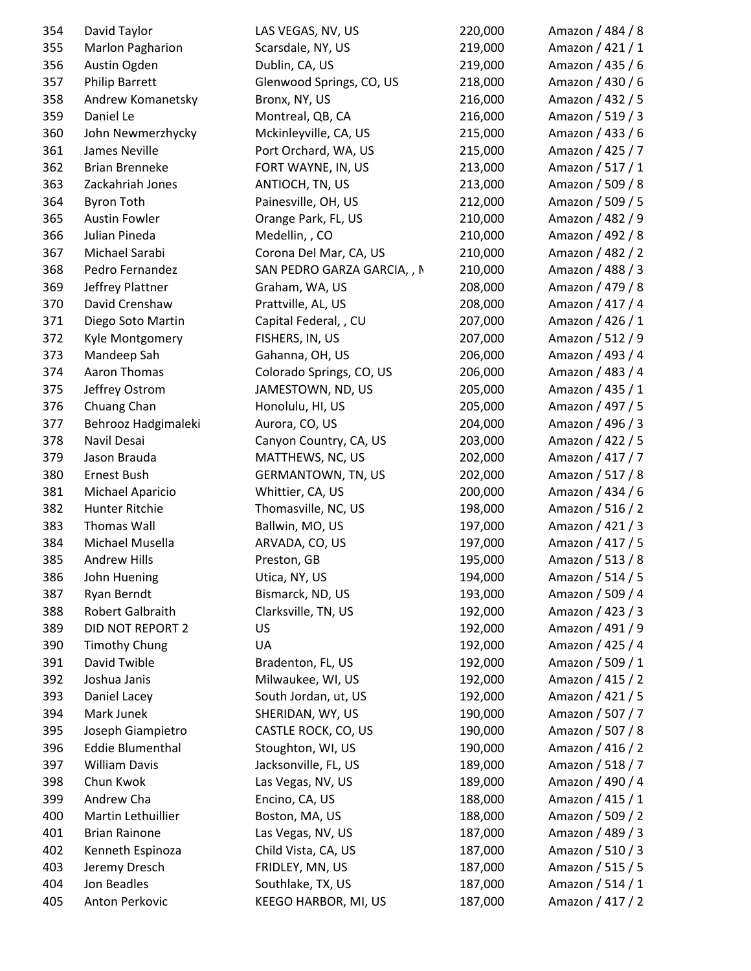| 354 | David Taylor            | LAS VEGAS, NV, US           | 220,000 | Amazon / 484 / 8 |
|-----|-------------------------|-----------------------------|---------|------------------|
| 355 | Marlon Pagharion        | Scarsdale, NY, US           | 219,000 | Amazon / 421 / 1 |
| 356 | Austin Ogden            | Dublin, CA, US              | 219,000 | Amazon / 435 / 6 |
| 357 | <b>Philip Barrett</b>   | Glenwood Springs, CO, US    | 218,000 | Amazon / 430 / 6 |
| 358 | Andrew Komanetsky       | Bronx, NY, US               | 216,000 | Amazon / 432 / 5 |
| 359 | Daniel Le               | Montreal, QB, CA            | 216,000 | Amazon / 519 / 3 |
| 360 | John Newmerzhycky       | Mckinleyville, CA, US       | 215,000 | Amazon / 433 / 6 |
| 361 | James Neville           | Port Orchard, WA, US        | 215,000 | Amazon / 425 / 7 |
| 362 | <b>Brian Brenneke</b>   | FORT WAYNE, IN, US          | 213,000 | Amazon / 517 / 1 |
| 363 | Zackahriah Jones        | ANTIOCH, TN, US             | 213,000 | Amazon / 509 / 8 |
| 364 | <b>Byron Toth</b>       | Painesville, OH, US         | 212,000 | Amazon / 509 / 5 |
| 365 | <b>Austin Fowler</b>    | Orange Park, FL, US         | 210,000 | Amazon / 482 / 9 |
| 366 | Julian Pineda           | Medellin, , CO              | 210,000 | Amazon / 492 / 8 |
| 367 | Michael Sarabi          | Corona Del Mar, CA, US      | 210,000 | Amazon / 482 / 2 |
| 368 | Pedro Fernandez         | SAN PEDRO GARZA GARCIA, , N | 210,000 | Amazon / 488 / 3 |
| 369 | Jeffrey Plattner        | Graham, WA, US              | 208,000 | Amazon / 479 / 8 |
| 370 | David Crenshaw          | Prattville, AL, US          | 208,000 | Amazon / 417 / 4 |
| 371 | Diego Soto Martin       | Capital Federal, , CU       | 207,000 | Amazon / 426 / 1 |
| 372 | Kyle Montgomery         | FISHERS, IN, US             | 207,000 | Amazon / 512 / 9 |
| 373 | Mandeep Sah             | Gahanna, OH, US             | 206,000 | Amazon / 493 / 4 |
| 374 | Aaron Thomas            | Colorado Springs, CO, US    | 206,000 | Amazon / 483 / 4 |
| 375 | Jeffrey Ostrom          | JAMESTOWN, ND, US           | 205,000 | Amazon / 435 / 1 |
| 376 | Chuang Chan             | Honolulu, HI, US            | 205,000 | Amazon / 497 / 5 |
| 377 | Behrooz Hadgimaleki     | Aurora, CO, US              | 204,000 | Amazon / 496 / 3 |
| 378 | Navil Desai             | Canyon Country, CA, US      | 203,000 | Amazon / 422 / 5 |
| 379 | Jason Brauda            | MATTHEWS, NC, US            | 202,000 | Amazon / 417 / 7 |
| 380 | <b>Ernest Bush</b>      | <b>GERMANTOWN, TN, US</b>   | 202,000 | Amazon / 517 / 8 |
| 381 | Michael Aparicio        | Whittier, CA, US            | 200,000 | Amazon / 434 / 6 |
| 382 | Hunter Ritchie          | Thomasville, NC, US         | 198,000 | Amazon / 516 / 2 |
| 383 | <b>Thomas Wall</b>      | Ballwin, MO, US             | 197,000 | Amazon / 421 / 3 |
| 384 | Michael Musella         | ARVADA, CO, US              | 197,000 | Amazon / 417 / 5 |
| 385 | <b>Andrew Hills</b>     | Preston, GB                 | 195,000 | Amazon / 513 / 8 |
| 386 | John Huening            | Utica, NY, US               | 194,000 | Amazon / 514 / 5 |
| 387 | Ryan Berndt             | Bismarck, ND, US            | 193,000 | Amazon / 509 / 4 |
| 388 | Robert Galbraith        | Clarksville, TN, US         | 192,000 | Amazon / 423 / 3 |
| 389 | <b>DID NOT REPORT 2</b> | US                          | 192,000 | Amazon / 491 / 9 |
| 390 | <b>Timothy Chung</b>    | UA                          | 192,000 | Amazon / 425 / 4 |
| 391 | David Twible            | Bradenton, FL, US           | 192,000 | Amazon / 509 / 1 |
| 392 | Joshua Janis            | Milwaukee, WI, US           | 192,000 | Amazon / 415 / 2 |
| 393 | Daniel Lacey            | South Jordan, ut, US        | 192,000 | Amazon / 421 / 5 |
| 394 | Mark Junek              | SHERIDAN, WY, US            | 190,000 | Amazon / 507 / 7 |
| 395 | Joseph Giampietro       | CASTLE ROCK, CO, US         | 190,000 | Amazon / 507 / 8 |
| 396 | <b>Eddie Blumenthal</b> | Stoughton, WI, US           | 190,000 | Amazon / 416 / 2 |
| 397 | <b>William Davis</b>    | Jacksonville, FL, US        | 189,000 | Amazon / 518 / 7 |
| 398 | Chun Kwok               | Las Vegas, NV, US           | 189,000 | Amazon / 490 / 4 |
| 399 | Andrew Cha              | Encino, CA, US              | 188,000 | Amazon / 415 / 1 |
| 400 | Martin Lethuillier      | Boston, MA, US              | 188,000 | Amazon / 509 / 2 |
| 401 | <b>Brian Rainone</b>    | Las Vegas, NV, US           | 187,000 | Amazon / 489 / 3 |
| 402 | Kenneth Espinoza        | Child Vista, CA, US         | 187,000 | Amazon / 510 / 3 |
| 403 | Jeremy Dresch           | FRIDLEY, MN, US             | 187,000 | Amazon / 515 / 5 |
| 404 | Jon Beadles             | Southlake, TX, US           | 187,000 | Amazon / 514 / 1 |
| 405 | Anton Perkovic          | KEEGO HARBOR, MI, US        | 187,000 | Amazon / 417 / 2 |
|     |                         |                             |         |                  |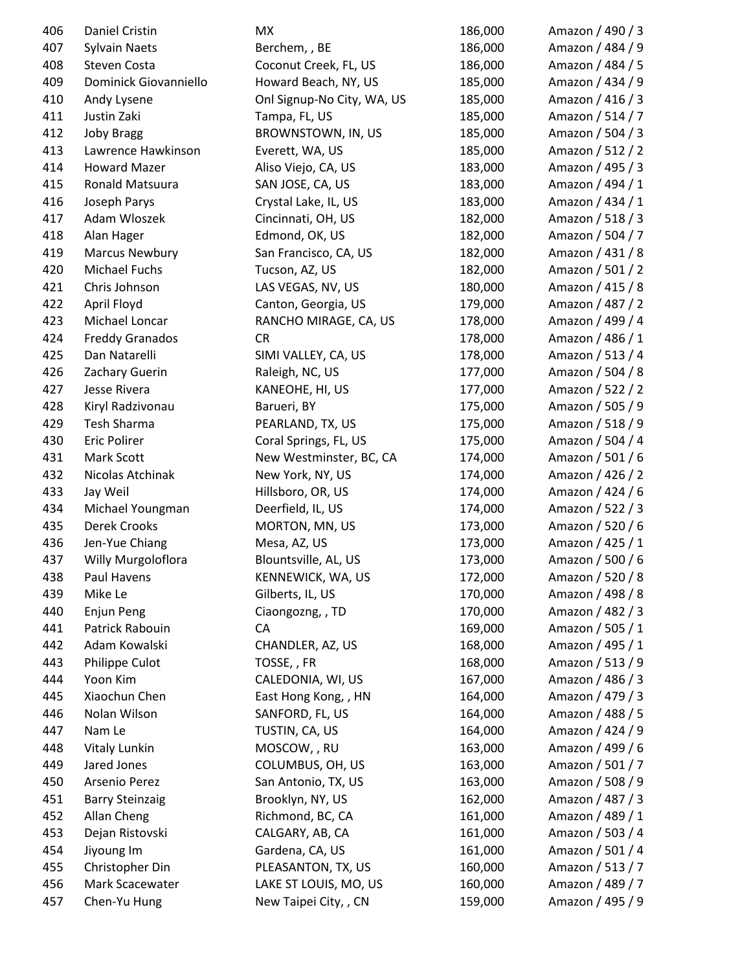| 406 | Daniel Cristin         | МX                         | 186,000 | Amazon / 490 / 3 |
|-----|------------------------|----------------------------|---------|------------------|
| 407 | <b>Sylvain Naets</b>   | Berchem, , BE              | 186,000 | Amazon / 484 / 9 |
| 408 | Steven Costa           | Coconut Creek, FL, US      | 186,000 | Amazon / 484 / 5 |
| 409 | Dominick Giovanniello  | Howard Beach, NY, US       | 185,000 | Amazon / 434 / 9 |
| 410 | Andy Lysene            | Onl Signup-No City, WA, US | 185,000 | Amazon / 416 / 3 |
| 411 | Justin Zaki            | Tampa, FL, US              | 185,000 | Amazon / 514 / 7 |
| 412 | <b>Joby Bragg</b>      | BROWNSTOWN, IN, US         | 185,000 | Amazon / 504 / 3 |
| 413 | Lawrence Hawkinson     | Everett, WA, US            | 185,000 | Amazon / 512 / 2 |
| 414 | <b>Howard Mazer</b>    | Aliso Viejo, CA, US        | 183,000 | Amazon / 495 / 3 |
| 415 | Ronald Matsuura        | SAN JOSE, CA, US           | 183,000 | Amazon / 494 / 1 |
| 416 | Joseph Parys           | Crystal Lake, IL, US       | 183,000 | Amazon / 434 / 1 |
| 417 | Adam Wloszek           | Cincinnati, OH, US         | 182,000 | Amazon / 518 / 3 |
| 418 | Alan Hager             | Edmond, OK, US             | 182,000 | Amazon / 504 / 7 |
| 419 | <b>Marcus Newbury</b>  | San Francisco, CA, US      | 182,000 | Amazon / 431 / 8 |
| 420 | Michael Fuchs          | Tucson, AZ, US             | 182,000 | Amazon / 501 / 2 |
| 421 | Chris Johnson          | LAS VEGAS, NV, US          | 180,000 | Amazon / 415 / 8 |
| 422 | April Floyd            | Canton, Georgia, US        | 179,000 | Amazon / 487 / 2 |
| 423 | Michael Loncar         | RANCHO MIRAGE, CA, US      | 178,000 | Amazon / 499 / 4 |
| 424 | <b>Freddy Granados</b> | <b>CR</b>                  | 178,000 | Amazon / 486 / 1 |
| 425 | Dan Natarelli          | SIMI VALLEY, CA, US        | 178,000 | Amazon / 513 / 4 |
| 426 | Zachary Guerin         | Raleigh, NC, US            | 177,000 | Amazon / 504 / 8 |
| 427 | Jesse Rivera           | KANEOHE, HI, US            | 177,000 | Amazon / 522 / 2 |
| 428 | Kiryl Radzivonau       | Barueri, BY                | 175,000 | Amazon / 505 / 9 |
| 429 | Tesh Sharma            | PEARLAND, TX, US           | 175,000 | Amazon / 518 / 9 |
| 430 | Eric Polirer           | Coral Springs, FL, US      | 175,000 | Amazon / 504 / 4 |
| 431 | Mark Scott             | New Westminster, BC, CA    | 174,000 | Amazon / 501 / 6 |
| 432 | Nicolas Atchinak       | New York, NY, US           | 174,000 | Amazon / 426 / 2 |
| 433 | Jay Weil               | Hillsboro, OR, US          | 174,000 | Amazon / 424 / 6 |
| 434 | Michael Youngman       | Deerfield, IL, US          | 174,000 | Amazon / 522 / 3 |
| 435 | Derek Crooks           | MORTON, MN, US             | 173,000 | Amazon / 520 / 6 |
| 436 | Jen-Yue Chiang         | Mesa, AZ, US               | 173,000 | Amazon / 425 / 1 |
| 437 | Willy Murgoloflora     | Blountsville, AL, US       | 173,000 | Amazon / 500 / 6 |
| 438 | Paul Havens            | KENNEWICK, WA, US          | 172,000 | Amazon / 520 / 8 |
| 439 | Mike Le                | Gilberts, IL, US           | 170,000 | Amazon / 498 / 8 |
| 440 | Enjun Peng             | Ciaongozng, , TD           | 170,000 | Amazon / 482 / 3 |
| 441 | Patrick Rabouin        | CA                         | 169,000 | Amazon / 505 / 1 |
| 442 | Adam Kowalski          | CHANDLER, AZ, US           | 168,000 | Amazon / 495 / 1 |
| 443 | Philippe Culot         | TOSSE, , FR                | 168,000 | Amazon / 513 / 9 |
| 444 | Yoon Kim               | CALEDONIA, WI, US          | 167,000 | Amazon / 486 / 3 |
| 445 | Xiaochun Chen          | East Hong Kong, , HN       | 164,000 | Amazon / 479 / 3 |
| 446 | Nolan Wilson           | SANFORD, FL, US            | 164,000 | Amazon / 488 / 5 |
| 447 | Nam Le                 | TUSTIN, CA, US             | 164,000 | Amazon / 424 / 9 |
| 448 | Vitaly Lunkin          | MOSCOW, , RU               | 163,000 | Amazon / 499 / 6 |
| 449 | Jared Jones            | COLUMBUS, OH, US           | 163,000 | Amazon / 501 / 7 |
| 450 | Arsenio Perez          | San Antonio, TX, US        | 163,000 | Amazon / 508 / 9 |
| 451 | <b>Barry Steinzaig</b> | Brooklyn, NY, US           | 162,000 | Amazon / 487 / 3 |
| 452 | Allan Cheng            | Richmond, BC, CA           | 161,000 | Amazon / 489 / 1 |
| 453 | Dejan Ristovski        | CALGARY, AB, CA            | 161,000 | Amazon / 503 / 4 |
| 454 | Jiyoung Im             | Gardena, CA, US            | 161,000 | Amazon / 501 / 4 |
| 455 | Christopher Din        | PLEASANTON, TX, US         | 160,000 | Amazon / 513 / 7 |
| 456 | Mark Scacewater        | LAKE ST LOUIS, MO, US      | 160,000 | Amazon / 489 / 7 |
| 457 | Chen-Yu Hung           | New Taipei City, , CN      | 159,000 | Amazon / 495 / 9 |
|     |                        |                            |         |                  |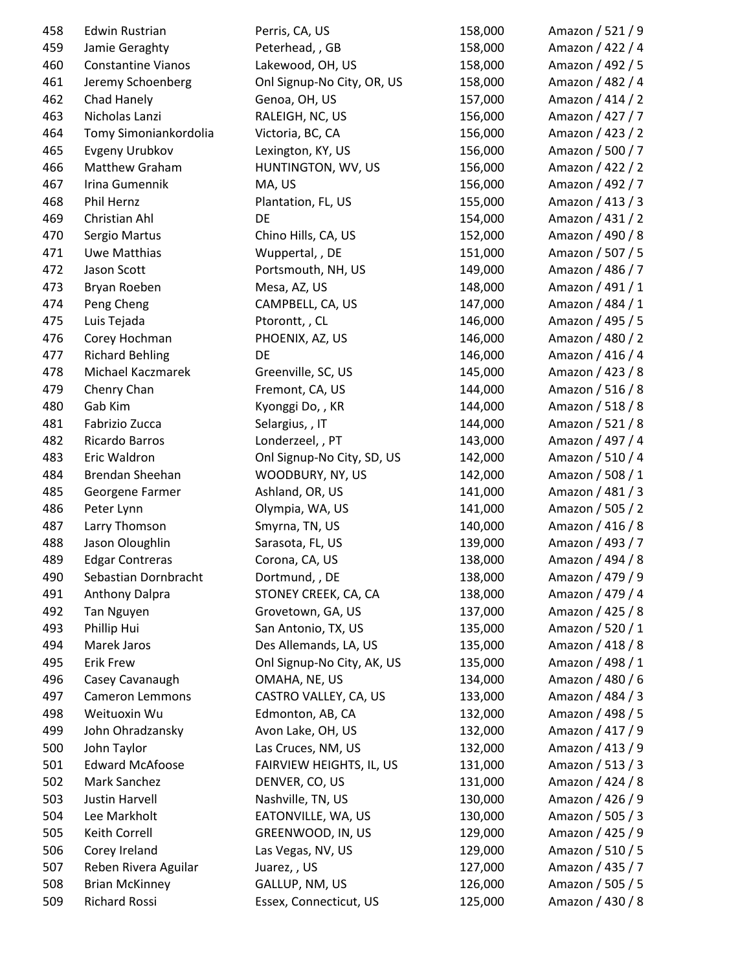| 458 | <b>Edwin Rustrian</b>     | Perris, CA, US             | 158,000 | Amazon / 521 / 9 |
|-----|---------------------------|----------------------------|---------|------------------|
| 459 | Jamie Geraghty            | Peterhead, , GB            | 158,000 | Amazon / 422 / 4 |
| 460 | <b>Constantine Vianos</b> | Lakewood, OH, US           | 158,000 | Amazon / 492 / 5 |
| 461 | Jeremy Schoenberg         | Onl Signup-No City, OR, US | 158,000 | Amazon / 482 / 4 |
| 462 | Chad Hanely               | Genoa, OH, US              | 157,000 | Amazon / 414 / 2 |
| 463 | Nicholas Lanzi            | RALEIGH, NC, US            | 156,000 | Amazon / 427 / 7 |
| 464 | Tomy Simoniankordolia     | Victoria, BC, CA           | 156,000 | Amazon / 423 / 2 |
| 465 | Evgeny Urubkov            | Lexington, KY, US          | 156,000 | Amazon / 500 / 7 |
| 466 | Matthew Graham            | HUNTINGTON, WV, US         | 156,000 | Amazon / 422 / 2 |
| 467 | Irina Gumennik            | MA, US                     | 156,000 | Amazon / 492 / 7 |
| 468 | Phil Hernz                | Plantation, FL, US         | 155,000 | Amazon / 413 / 3 |
| 469 | Christian Ahl             | DE                         | 154,000 | Amazon / 431 / 2 |
| 470 | Sergio Martus             | Chino Hills, CA, US        | 152,000 | Amazon / 490 / 8 |
| 471 | Uwe Matthias              | Wuppertal, , DE            | 151,000 | Amazon / 507 / 5 |
| 472 | Jason Scott               | Portsmouth, NH, US         | 149,000 | Amazon / 486 / 7 |
| 473 | Bryan Roeben              | Mesa, AZ, US               | 148,000 | Amazon / 491 / 1 |
| 474 | Peng Cheng                | CAMPBELL, CA, US           | 147,000 | Amazon / 484 / 1 |
| 475 | Luis Tejada               | Ptorontt,, CL              | 146,000 | Amazon / 495 / 5 |
| 476 | Corey Hochman             | PHOENIX, AZ, US            | 146,000 | Amazon / 480 / 2 |
| 477 | <b>Richard Behling</b>    | DE                         | 146,000 | Amazon / 416 / 4 |
| 478 | Michael Kaczmarek         | Greenville, SC, US         | 145,000 | Amazon / 423 / 8 |
| 479 | Chenry Chan               | Fremont, CA, US            | 144,000 | Amazon / 516 / 8 |
| 480 | Gab Kim                   | Kyonggi Do, , KR           | 144,000 | Amazon / 518 / 8 |
| 481 | Fabrizio Zucca            | Selargius, , IT            | 144,000 | Amazon / 521 / 8 |
| 482 | Ricardo Barros            | Londerzeel,, PT            | 143,000 | Amazon / 497 / 4 |
| 483 | Eric Waldron              | Onl Signup-No City, SD, US | 142,000 | Amazon / 510 / 4 |
| 484 | Brendan Sheehan           | WOODBURY, NY, US           | 142,000 | Amazon / 508 / 1 |
| 485 | Georgene Farmer           | Ashland, OR, US            | 141,000 | Amazon / 481 / 3 |
| 486 | Peter Lynn                | Olympia, WA, US            | 141,000 | Amazon / 505 / 2 |
| 487 | Larry Thomson             | Smyrna, TN, US             | 140,000 | Amazon / 416 / 8 |
| 488 | Jason Oloughlin           | Sarasota, FL, US           | 139,000 | Amazon / 493 / 7 |
| 489 | <b>Edgar Contreras</b>    | Corona, CA, US             | 138,000 | Amazon / 494 / 8 |
| 490 | Sebastian Dornbracht      | Dortmund, , DE             | 138,000 | Amazon / 479 / 9 |
| 491 | <b>Anthony Dalpra</b>     | STONEY CREEK, CA, CA       | 138,000 | Amazon / 479 / 4 |
| 492 | Tan Nguyen                | Grovetown, GA, US          | 137,000 | Amazon / 425 / 8 |
| 493 | Phillip Hui               | San Antonio, TX, US        | 135,000 | Amazon / 520 / 1 |
| 494 | Marek Jaros               | Des Allemands, LA, US      | 135,000 | Amazon / 418 / 8 |
| 495 | <b>Erik Frew</b>          | Onl Signup-No City, AK, US | 135,000 | Amazon / 498 / 1 |
| 496 | Casey Cavanaugh           | OMAHA, NE, US              | 134,000 | Amazon / 480 / 6 |
| 497 | <b>Cameron Lemmons</b>    | CASTRO VALLEY, CA, US      | 133,000 | Amazon / 484 / 3 |
| 498 | Weituoxin Wu              | Edmonton, AB, CA           | 132,000 | Amazon / 498 / 5 |
| 499 | John Ohradzansky          | Avon Lake, OH, US          | 132,000 | Amazon / 417 / 9 |
| 500 | John Taylor               | Las Cruces, NM, US         | 132,000 | Amazon / 413 / 9 |
| 501 | <b>Edward McAfoose</b>    | FAIRVIEW HEIGHTS, IL, US   | 131,000 | Amazon / 513 / 3 |
| 502 | Mark Sanchez              | DENVER, CO, US             | 131,000 | Amazon / 424 / 8 |
| 503 | <b>Justin Harvell</b>     | Nashville, TN, US          | 130,000 | Amazon / 426 / 9 |
| 504 | Lee Markholt              | EATONVILLE, WA, US         | 130,000 | Amazon / 505 / 3 |
| 505 | Keith Correll             | GREENWOOD, IN, US          | 129,000 | Amazon / 425 / 9 |
| 506 | Corey Ireland             | Las Vegas, NV, US          | 129,000 | Amazon / 510 / 5 |
| 507 | Reben Rivera Aguilar      | Juarez,, US                | 127,000 | Amazon / 435 / 7 |
| 508 | <b>Brian McKinney</b>     | GALLUP, NM, US             | 126,000 | Amazon / 505 / 5 |
| 509 | Richard Rossi             | Essex, Connecticut, US     | 125,000 | Amazon / 430 / 8 |
|     |                           |                            |         |                  |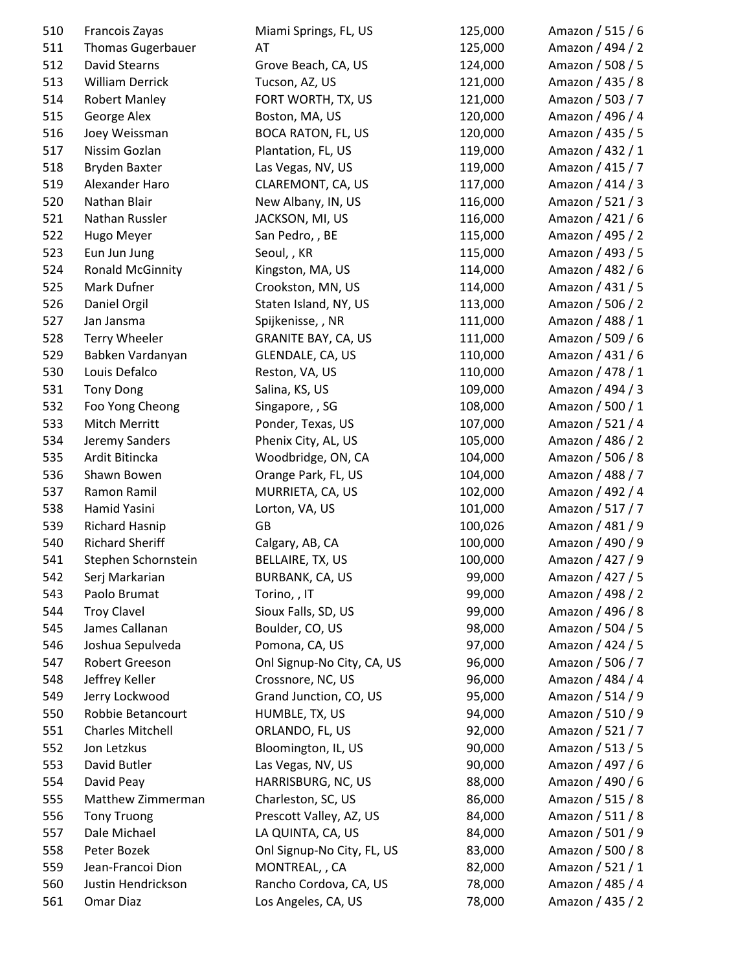| 510        | Francois Zayas           | Miami Springs, FL, US      | 125,000 | Amazon / 515 / 6 |
|------------|--------------------------|----------------------------|---------|------------------|
| 511        | <b>Thomas Gugerbauer</b> | AT                         | 125,000 | Amazon / 494 / 2 |
| 512        | <b>David Stearns</b>     | Grove Beach, CA, US        | 124,000 | Amazon / 508 / 5 |
| 513        | <b>William Derrick</b>   | Tucson, AZ, US             | 121,000 | Amazon / 435 / 8 |
| 514        | <b>Robert Manley</b>     | FORT WORTH, TX, US         | 121,000 | Amazon / 503 / 7 |
| 515        | George Alex              | Boston, MA, US             | 120,000 | Amazon / 496 / 4 |
| 516        | Joey Weissman            | <b>BOCA RATON, FL, US</b>  | 120,000 | Amazon / 435 / 5 |
| 517        | Nissim Gozlan            | Plantation, FL, US         | 119,000 | Amazon / 432 / 1 |
| 518        | <b>Bryden Baxter</b>     | Las Vegas, NV, US          | 119,000 | Amazon / 415 / 7 |
| 519        | Alexander Haro           | CLAREMONT, CA, US          | 117,000 | Amazon / 414 / 3 |
| 520        | Nathan Blair             | New Albany, IN, US         | 116,000 | Amazon / 521 / 3 |
| 521        | Nathan Russler           | JACKSON, MI, US            | 116,000 | Amazon / 421 / 6 |
| 522        | Hugo Meyer               | San Pedro, , BE            | 115,000 | Amazon / 495 / 2 |
| 523        | Eun Jun Jung             | Seoul, , KR                | 115,000 | Amazon / 493 / 5 |
| 524        | <b>Ronald McGinnity</b>  | Kingston, MA, US           | 114,000 | Amazon / 482 / 6 |
| 525        | Mark Dufner              | Crookston, MN, US          | 114,000 | Amazon / 431 / 5 |
| 526        | Daniel Orgil             | Staten Island, NY, US      | 113,000 | Amazon / 506 / 2 |
| 527        | Jan Jansma               | Spijkenisse, , NR          | 111,000 | Amazon / 488 / 1 |
| 528        | <b>Terry Wheeler</b>     | <b>GRANITE BAY, CA, US</b> | 111,000 | Amazon / 509 / 6 |
| 529        | Babken Vardanyan         | GLENDALE, CA, US           | 110,000 | Amazon / 431 / 6 |
| 530        | Louis Defalco            | Reston, VA, US             | 110,000 | Amazon / 478 / 1 |
| 531        | <b>Tony Dong</b>         | Salina, KS, US             | 109,000 | Amazon / 494 / 3 |
| 532        | Foo Yong Cheong          | Singapore, , SG            | 108,000 | Amazon / 500 / 1 |
| 533        | Mitch Merritt            | Ponder, Texas, US          | 107,000 | Amazon / 521 / 4 |
| 534        | Jeremy Sanders           | Phenix City, AL, US        | 105,000 | Amazon / 486 / 2 |
| 535        | Ardit Bitincka           | Woodbridge, ON, CA         | 104,000 | Amazon / 506 / 8 |
| 536        | Shawn Bowen              | Orange Park, FL, US        | 104,000 | Amazon / 488 / 7 |
| 537        | Ramon Ramil              | MURRIETA, CA, US           | 102,000 | Amazon / 492 / 4 |
| 538        | Hamid Yasini             | Lorton, VA, US             | 101,000 | Amazon / 517 / 7 |
| 539        | <b>Richard Hasnip</b>    | GB                         | 100,026 | Amazon / 481 / 9 |
| 540        | <b>Richard Sheriff</b>   | Calgary, AB, CA            | 100,000 | Amazon / 490 / 9 |
| 541        | Stephen Schornstein      | BELLAIRE, TX, US           | 100,000 | Amazon / 427 / 9 |
|            | Serj Markarian           | <b>BURBANK, CA, US</b>     | 99,000  | Amazon / 427 / 5 |
| 542<br>543 | Paolo Brumat             | Torino, , IT               | 99,000  | Amazon / 498 / 2 |
| 544        | <b>Troy Clavel</b>       |                            |         | Amazon / 496 / 8 |
|            | James Callanan           | Sioux Falls, SD, US        | 99,000  | Amazon / 504 / 5 |
| 545        |                          | Boulder, CO, US            | 98,000  |                  |
| 546        | Joshua Sepulveda         | Pomona, CA, US             | 97,000  | Amazon / 424 / 5 |
| 547        | Robert Greeson           | Onl Signup-No City, CA, US | 96,000  | Amazon / 506 / 7 |
| 548        | Jeffrey Keller           | Crossnore, NC, US          | 96,000  | Amazon / 484 / 4 |
| 549        | Jerry Lockwood           | Grand Junction, CO, US     | 95,000  | Amazon / 514 / 9 |
| 550        | Robbie Betancourt        | HUMBLE, TX, US             | 94,000  | Amazon / 510 / 9 |
| 551        | <b>Charles Mitchell</b>  | ORLANDO, FL, US            | 92,000  | Amazon / 521 / 7 |
| 552        | Jon Letzkus              | Bloomington, IL, US        | 90,000  | Amazon / 513 / 5 |
| 553        | David Butler             | Las Vegas, NV, US          | 90,000  | Amazon / 497 / 6 |
| 554        | David Peay               | HARRISBURG, NC, US         | 88,000  | Amazon / 490 / 6 |
| 555        | Matthew Zimmerman        | Charleston, SC, US         | 86,000  | Amazon / 515 / 8 |
| 556        | <b>Tony Truong</b>       | Prescott Valley, AZ, US    | 84,000  | Amazon / 511 / 8 |
| 557        | Dale Michael             | LA QUINTA, CA, US          | 84,000  | Amazon / 501 / 9 |
| 558        | Peter Bozek              | Onl Signup-No City, FL, US | 83,000  | Amazon / 500 / 8 |
| 559        | Jean-Francoi Dion        | MONTREAL, , CA             | 82,000  | Amazon / 521 / 1 |
| 560        | Justin Hendrickson       | Rancho Cordova, CA, US     | 78,000  | Amazon / 485 / 4 |
| 561        | Omar Diaz                | Los Angeles, CA, US        | 78,000  | Amazon / 435 / 2 |